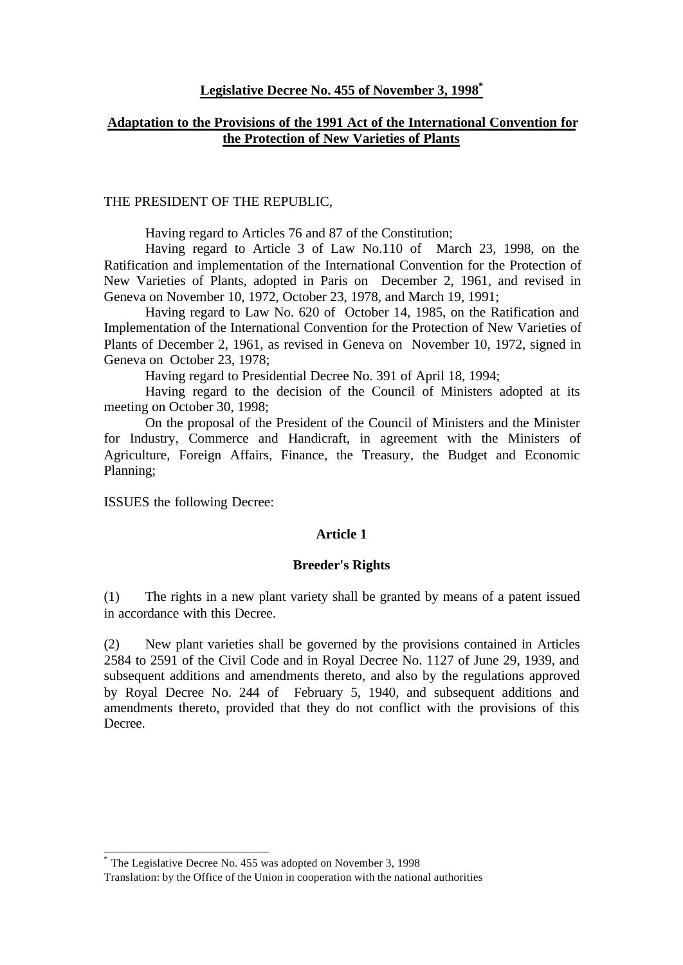### **Legislative Decree No. 455 of November 3, 1998\***

## **Adaptation to the Provisions of the 1991 Act of the International Convention for the Protection of New Varieties of Plants**

#### THE PRESIDENT OF THE REPUBLIC,

Having regard to Articles 76 and 87 of the Constitution;

Having regard to Article 3 of Law No.110 of March 23, 1998, on the Ratification and implementation of the International Convention for the Protection of New Varieties of Plants, adopted in Paris on December 2, 1961, and revised in Geneva on November 10, 1972, October 23, 1978, and March 19, 1991;

Having regard to Law No. 620 of October 14, 1985, on the Ratification and Implementation of the International Convention for the Protection of New Varieties of Plants of December 2, 1961, as revised in Geneva on November 10, 1972, signed in Geneva on October 23, 1978;

Having regard to Presidential Decree No. 391 of April 18, 1994;

Having regard to the decision of the Council of Ministers adopted at its meeting on October 30, 1998;

On the proposal of the President of the Council of Ministers and the Minister for Industry, Commerce and Handicraft, in agreement with the Ministers of Agriculture, Foreign Affairs, Finance, the Treasury, the Budget and Economic Planning;

ISSUES the following Decree:

l

### **Article 1**

#### **Breeder's Rights**

(1) The rights in a new plant variety shall be granted by means of a patent issued in accordance with this Decree.

(2) New plant varieties shall be governed by the provisions contained in Articles 2584 to 2591 of the Civil Code and in Royal Decree No. 1127 of June 29, 1939, and subsequent additions and amendments thereto, and also by the regulations approved by Royal Decree No. 244 of February 5, 1940, and subsequent additions and amendments thereto, provided that they do not conflict with the provisions of this Decree.

<sup>\*</sup> The Legislative Decree No. 455 was adopted on November 3, 1998

Translation: by the Office of the Union in cooperation with the national authorities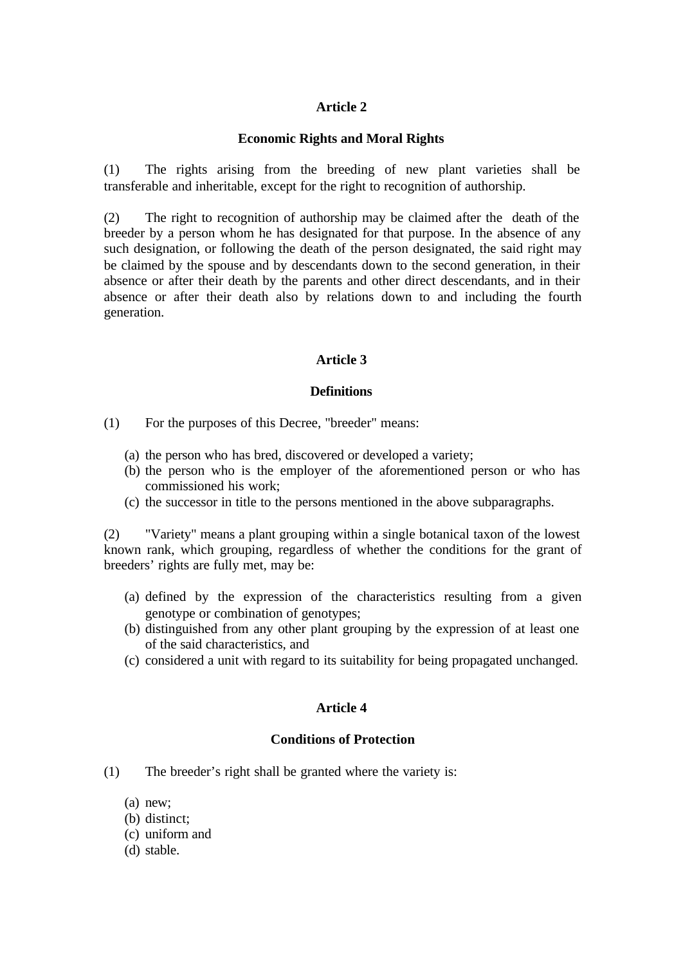### **Economic Rights and Moral Rights**

(1) The rights arising from the breeding of new plant varieties shall be transferable and inheritable, except for the right to recognition of authorship.

(2) The right to recognition of authorship may be claimed after the death of the breeder by a person whom he has designated for that purpose. In the absence of any such designation, or following the death of the person designated, the said right may be claimed by the spouse and by descendants down to the second generation, in their absence or after their death by the parents and other direct descendants, and in their absence or after their death also by relations down to and including the fourth generation.

# **Article 3**

### **Definitions**

- (1) For the purposes of this Decree, "breeder" means:
	- (a) the person who has bred, discovered or developed a variety;
	- (b) the person who is the employer of the aforementioned person or who has commissioned his work;
	- (c) the successor in title to the persons mentioned in the above subparagraphs.

(2) "Variety" means a plant grouping within a single botanical taxon of the lowest known rank, which grouping, regardless of whether the conditions for the grant of breeders' rights are fully met, may be:

- (a) defined by the expression of the characteristics resulting from a given genotype or combination of genotypes;
- (b) distinguished from any other plant grouping by the expression of at least one of the said characteristics, and
- (c) considered a unit with regard to its suitability for being propagated unchanged.

## **Article 4**

## **Conditions of Protection**

- (1) The breeder's right shall be granted where the variety is:
	- (a) new;
	- (b) distinct;
	- (c) uniform and
	- (d) stable.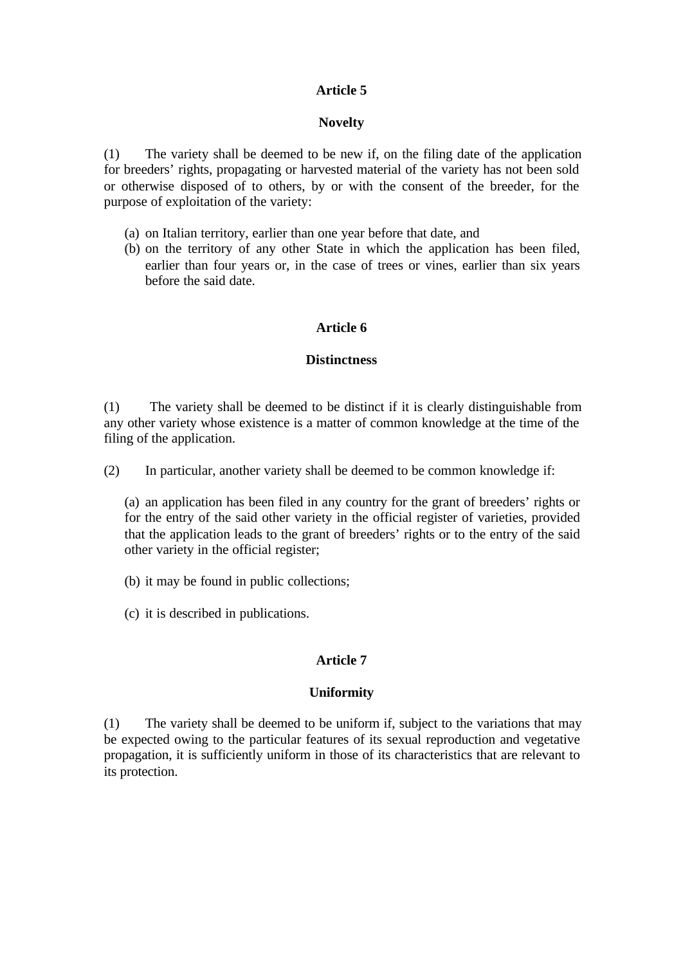### **Novelty**

(1) The variety shall be deemed to be new if, on the filing date of the application for breeders' rights, propagating or harvested material of the variety has not been sold or otherwise disposed of to others, by or with the consent of the breeder, for the purpose of exploitation of the variety:

- (a) on Italian territory, earlier than one year before that date, and
- (b) on the territory of any other State in which the application has been filed, earlier than four years or, in the case of trees or vines, earlier than six years before the said date.

## **Article 6**

### **Distinctness**

(1) The variety shall be deemed to be distinct if it is clearly distinguishable from any other variety whose existence is a matter of common knowledge at the time of the filing of the application.

(2) In particular, another variety shall be deemed to be common knowledge if:

(a) an application has been filed in any country for the grant of breeders' rights or for the entry of the said other variety in the official register of varieties, provided that the application leads to the grant of breeders' rights or to the entry of the said other variety in the official register;

- (b) it may be found in public collections;
- (c) it is described in publications.

## **Article 7**

#### **Uniformity**

(1) The variety shall be deemed to be uniform if, subject to the variations that may be expected owing to the particular features of its sexual reproduction and vegetative propagation, it is sufficiently uniform in those of its characteristics that are relevant to its protection.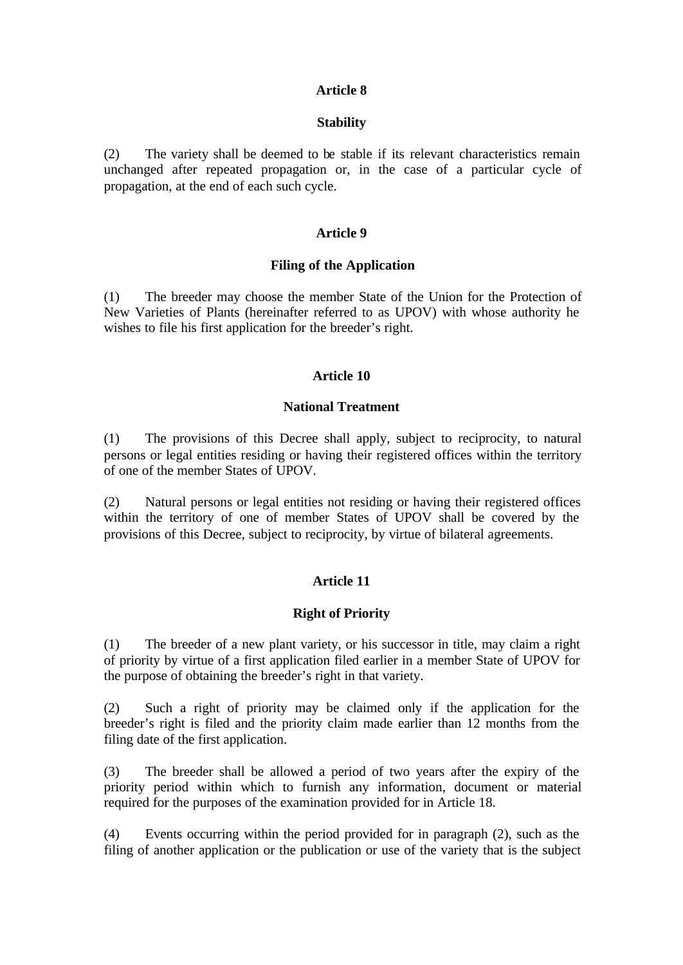### **Stability**

(2) The variety shall be deemed to be stable if its relevant characteristics remain unchanged after repeated propagation or, in the case of a particular cycle of propagation, at the end of each such cycle.

## **Article 9**

### **Filing of the Application**

(1) The breeder may choose the member State of the Union for the Protection of New Varieties of Plants (hereinafter referred to as UPOV) with whose authority he wishes to file his first application for the breeder's right.

## **Article 10**

### **National Treatment**

(1) The provisions of this Decree shall apply, subject to reciprocity, to natural persons or legal entities residing or having their registered offices within the territory of one of the member States of UPOV.

(2) Natural persons or legal entities not residing or having their registered offices within the territory of one of member States of UPOV shall be covered by the provisions of this Decree, subject to reciprocity, by virtue of bilateral agreements.

## **Article 11**

## **Right of Priority**

(1) The breeder of a new plant variety, or his successor in title, may claim a right of priority by virtue of a first application filed earlier in a member State of UPOV for the purpose of obtaining the breeder's right in that variety.

(2) Such a right of priority may be claimed only if the application for the breeder's right is filed and the priority claim made earlier than 12 months from the filing date of the first application.

(3) The breeder shall be allowed a period of two years after the expiry of the priority period within which to furnish any information, document or material required for the purposes of the examination provided for in Article 18.

(4) Events occurring within the period provided for in paragraph (2), such as the filing of another application or the publication or use of the variety that is the subject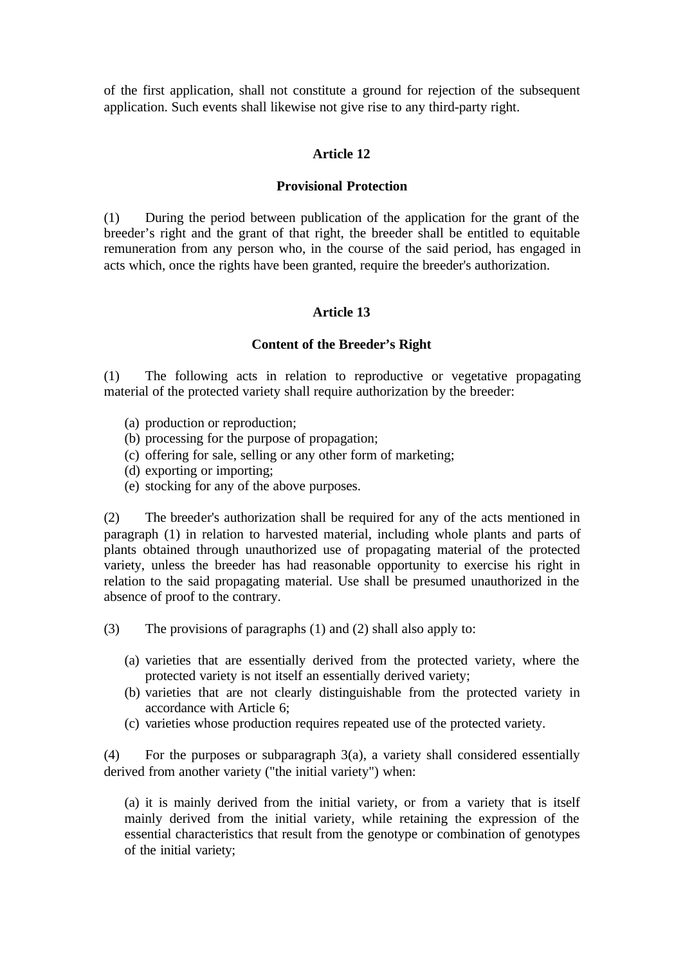of the first application, shall not constitute a ground for rejection of the subsequent application. Such events shall likewise not give rise to any third-party right.

### **Article 12**

### **Provisional Protection**

(1) During the period between publication of the application for the grant of the breeder's right and the grant of that right, the breeder shall be entitled to equitable remuneration from any person who, in the course of the said period, has engaged in acts which, once the rights have been granted, require the breeder's authorization.

### **Article 13**

#### **Content of the Breeder's Right**

(1) The following acts in relation to reproductive or vegetative propagating material of the protected variety shall require authorization by the breeder:

- (a) production or reproduction;
- (b) processing for the purpose of propagation;
- (c) offering for sale, selling or any other form of marketing;
- (d) exporting or importing;
- (e) stocking for any of the above purposes.

(2) The breeder's authorization shall be required for any of the acts mentioned in paragraph (1) in relation to harvested material, including whole plants and parts of plants obtained through unauthorized use of propagating material of the protected variety, unless the breeder has had reasonable opportunity to exercise his right in relation to the said propagating material. Use shall be presumed unauthorized in the absence of proof to the contrary.

(3) The provisions of paragraphs (1) and (2) shall also apply to:

- (a) varieties that are essentially derived from the protected variety, where the protected variety is not itself an essentially derived variety;
- (b) varieties that are not clearly distinguishable from the protected variety in accordance with Article 6;
- (c) varieties whose production requires repeated use of the protected variety.

(4) For the purposes or subparagraph 3(a), a variety shall considered essentially derived from another variety ("the initial variety") when:

(a) it is mainly derived from the initial variety, or from a variety that is itself mainly derived from the initial variety, while retaining the expression of the essential characteristics that result from the genotype or combination of genotypes of the initial variety;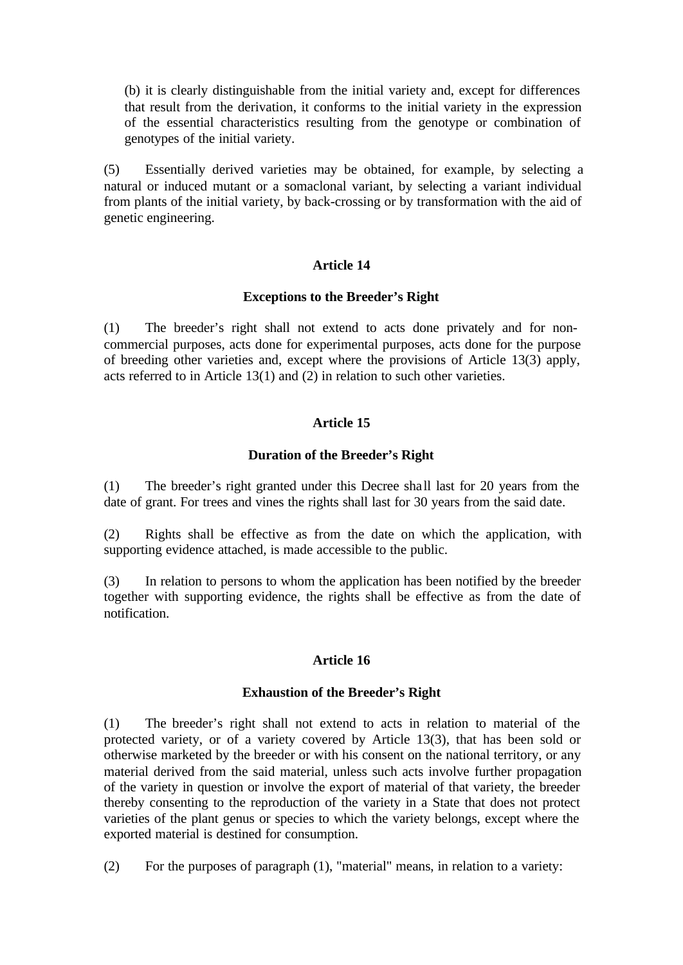(b) it is clearly distinguishable from the initial variety and, except for differences that result from the derivation, it conforms to the initial variety in the expression of the essential characteristics resulting from the genotype or combination of genotypes of the initial variety.

(5) Essentially derived varieties may be obtained, for example, by selecting a natural or induced mutant or a somaclonal variant, by selecting a variant individual from plants of the initial variety, by back-crossing or by transformation with the aid of genetic engineering.

## **Article 14**

### **Exceptions to the Breeder's Right**

(1) The breeder's right shall not extend to acts done privately and for noncommercial purposes, acts done for experimental purposes, acts done for the purpose of breeding other varieties and, except where the provisions of Article 13(3) apply, acts referred to in Article 13(1) and (2) in relation to such other varieties.

# **Article 15**

## **Duration of the Breeder's Right**

(1) The breeder's right granted under this Decree sha ll last for 20 years from the date of grant. For trees and vines the rights shall last for 30 years from the said date.

(2) Rights shall be effective as from the date on which the application, with supporting evidence attached, is made accessible to the public.

(3) In relation to persons to whom the application has been notified by the breeder together with supporting evidence, the rights shall be effective as from the date of notification.

#### **Article 16**

#### **Exhaustion of the Breeder's Right**

(1) The breeder's right shall not extend to acts in relation to material of the protected variety, or of a variety covered by Article 13(3), that has been sold or otherwise marketed by the breeder or with his consent on the national territory, or any material derived from the said material, unless such acts involve further propagation of the variety in question or involve the export of material of that variety, the breeder thereby consenting to the reproduction of the variety in a State that does not protect varieties of the plant genus or species to which the variety belongs, except where the exported material is destined for consumption.

(2) For the purposes of paragraph (1), "material" means, in relation to a variety: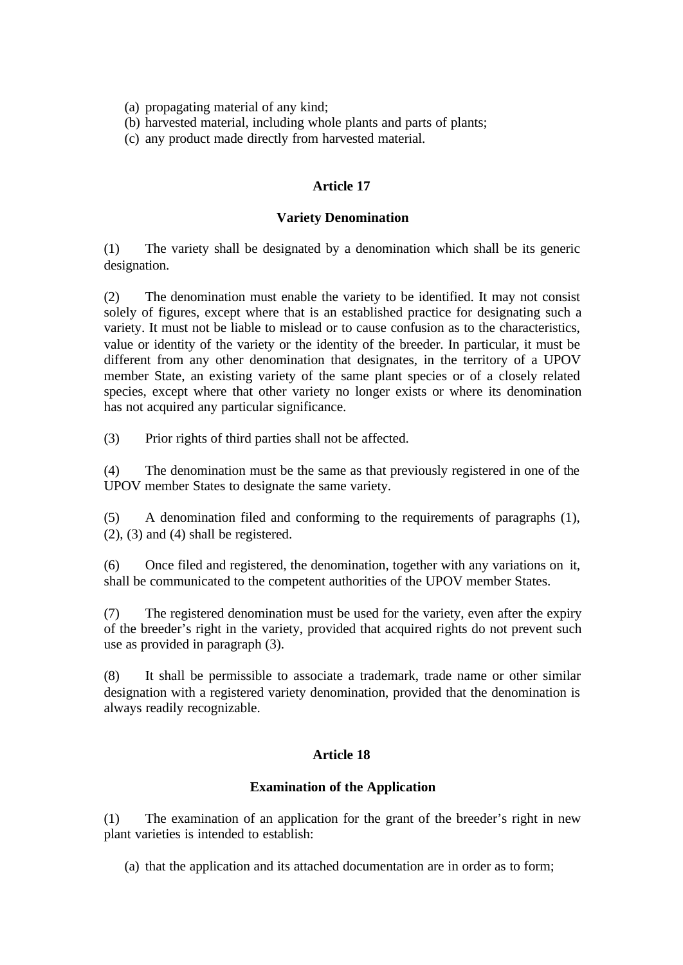(a) propagating material of any kind;

(b) harvested material, including whole plants and parts of plants;

(c) any product made directly from harvested material.

## **Article 17**

### **Variety Denomination**

(1) The variety shall be designated by a denomination which shall be its generic designation.

(2) The denomination must enable the variety to be identified. It may not consist solely of figures, except where that is an established practice for designating such a variety. It must not be liable to mislead or to cause confusion as to the characteristics, value or identity of the variety or the identity of the breeder. In particular, it must be different from any other denomination that designates, in the territory of a UPOV member State, an existing variety of the same plant species or of a closely related species, except where that other variety no longer exists or where its denomination has not acquired any particular significance.

(3) Prior rights of third parties shall not be affected.

(4) The denomination must be the same as that previously registered in one of the UPOV member States to designate the same variety.

(5) A denomination filed and conforming to the requirements of paragraphs (1), (2), (3) and (4) shall be registered.

(6) Once filed and registered, the denomination, together with any variations on it, shall be communicated to the competent authorities of the UPOV member States.

(7) The registered denomination must be used for the variety, even after the expiry of the breeder's right in the variety, provided that acquired rights do not prevent such use as provided in paragraph (3).

(8) It shall be permissible to associate a trademark, trade name or other similar designation with a registered variety denomination, provided that the denomination is always readily recognizable.

## **Article 18**

## **Examination of the Application**

(1) The examination of an application for the grant of the breeder's right in new plant varieties is intended to establish:

(a) that the application and its attached documentation are in order as to form;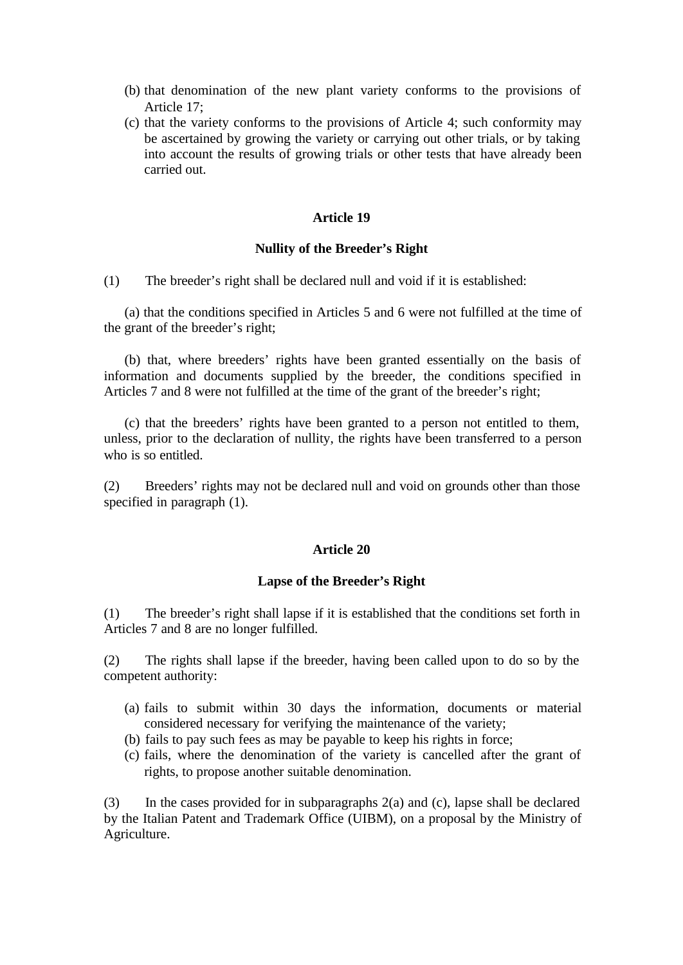- (b) that denomination of the new plant variety conforms to the provisions of Article 17;
- (c) that the variety conforms to the provisions of Article 4; such conformity may be ascertained by growing the variety or carrying out other trials, or by taking into account the results of growing trials or other tests that have already been carried out.

### **Nullity of the Breeder's Right**

(1) The breeder's right shall be declared null and void if it is established:

(a) that the conditions specified in Articles 5 and 6 were not fulfilled at the time of the grant of the breeder's right;

(b) that, where breeders' rights have been granted essentially on the basis of information and documents supplied by the breeder, the conditions specified in Articles 7 and 8 were not fulfilled at the time of the grant of the breeder's right;

(c) that the breeders' rights have been granted to a person not entitled to them, unless, prior to the declaration of nullity, the rights have been transferred to a person who is so entitled.

(2) Breeders' rights may not be declared null and void on grounds other than those specified in paragraph (1).

### **Article 20**

#### **Lapse of the Breeder's Right**

(1) The breeder's right shall lapse if it is established that the conditions set forth in Articles 7 and 8 are no longer fulfilled.

(2) The rights shall lapse if the breeder, having been called upon to do so by the competent authority:

- (a) fails to submit within 30 days the information, documents or material considered necessary for verifying the maintenance of the variety;
- (b) fails to pay such fees as may be payable to keep his rights in force;
- (c) fails, where the denomination of the variety is cancelled after the grant of rights, to propose another suitable denomination.

(3) In the cases provided for in subparagraphs 2(a) and (c), lapse shall be declared by the Italian Patent and Trademark Office (UIBM), on a proposal by the Ministry of Agriculture.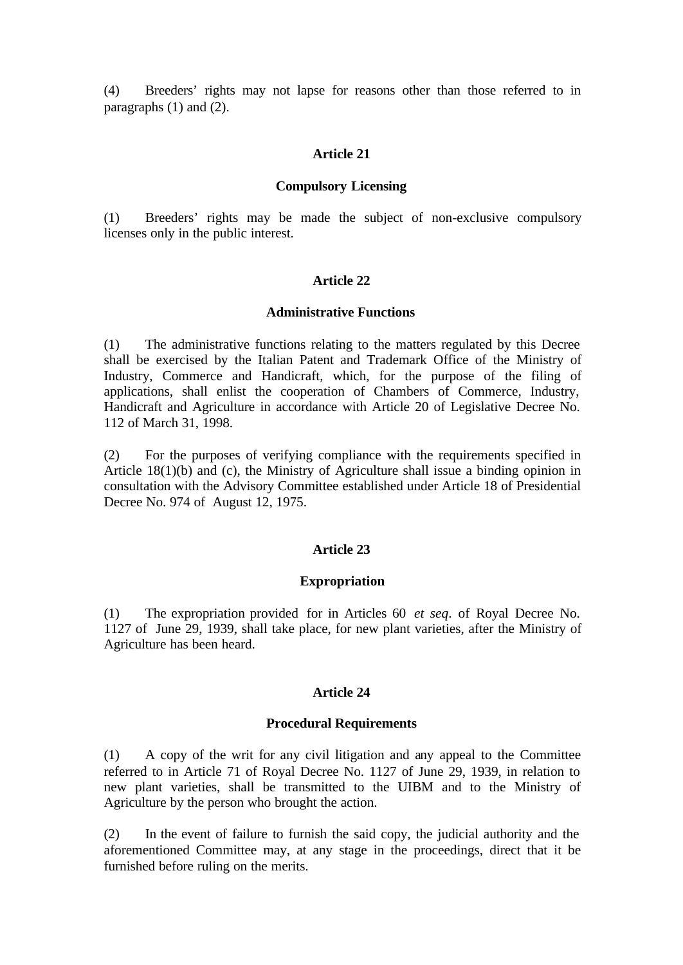(4) Breeders' rights may not lapse for reasons other than those referred to in paragraphs (1) and (2).

#### **Article 21**

#### **Compulsory Licensing**

(1) Breeders' rights may be made the subject of non-exclusive compulsory licenses only in the public interest.

#### **Article 22**

#### **Administrative Functions**

(1) The administrative functions relating to the matters regulated by this Decree shall be exercised by the Italian Patent and Trademark Office of the Ministry of Industry, Commerce and Handicraft, which, for the purpose of the filing of applications, shall enlist the cooperation of Chambers of Commerce, Industry, Handicraft and Agriculture in accordance with Article 20 of Legislative Decree No. 112 of March 31, 1998.

(2) For the purposes of verifying compliance with the requirements specified in Article 18(1)(b) and (c), the Ministry of Agriculture shall issue a binding opinion in consultation with the Advisory Committee established under Article 18 of Presidential Decree No. 974 of August 12, 1975.

### **Article 23**

#### **Expropriation**

(1) The expropriation provided for in Articles 60 *et seq*. of Royal Decree No. 1127 of June 29, 1939, shall take place, for new plant varieties, after the Ministry of Agriculture has been heard.

#### **Article 24**

#### **Procedural Requirements**

(1) A copy of the writ for any civil litigation and any appeal to the Committee referred to in Article 71 of Royal Decree No. 1127 of June 29, 1939, in relation to new plant varieties, shall be transmitted to the UIBM and to the Ministry of Agriculture by the person who brought the action.

(2) In the event of failure to furnish the said copy, the judicial authority and the aforementioned Committee may, at any stage in the proceedings, direct that it be furnished before ruling on the merits.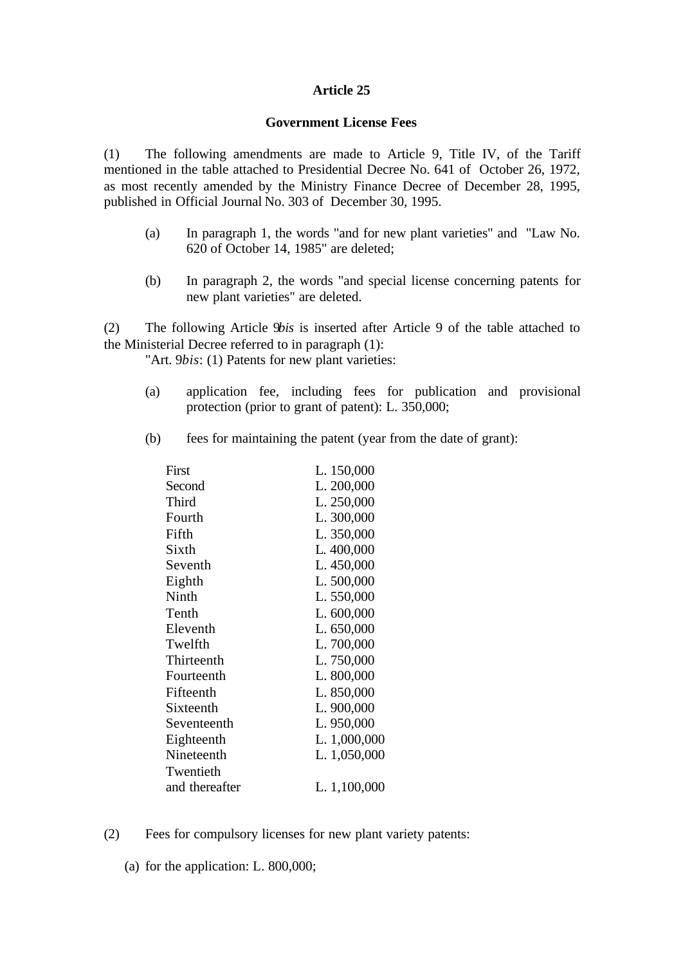### **Government License Fees**

(1) The following amendments are made to Article 9, Title IV, of the Tariff mentioned in the table attached to Presidential Decree No. 641 of October 26, 1972, as most recently amended by the Ministry Finance Decree of December 28, 1995, published in Official Journal No. 303 of December 30, 1995.

- (a) In paragraph 1, the words "and for new plant varieties" and "Law No. 620 of October 14, 1985" are deleted;
- (b) In paragraph 2, the words "and special license concerning patents for new plant varieties" are deleted.

(2) The following Article 9*bis* is inserted after Article 9 of the table attached to the Ministerial Decree referred to in paragraph (1):

"Art. 9*bis*: (1) Patents for new plant varieties:

- (a) application fee, including fees for publication and provisional protection (prior to grant of patent): L. 350,000;
- (b) fees for maintaining the patent (year from the date of grant):

| First          | L. 150,000   |
|----------------|--------------|
| Second         | L. 200,000   |
| Third          | L. 250,000   |
| Fourth         | L. 300,000   |
| Fifth          | L. 350,000   |
| Sixth          | L. 400,000   |
| Seventh        | L. 450,000   |
| Eighth         | L. 500,000   |
| Ninth          | L. 550,000   |
| Tenth          | L. 600,000   |
| Eleventh       | L. 650,000   |
| Twelfth        | L. 700,000   |
| Thirteenth     | L. 750,000   |
| Fourteenth     | L. 800,000   |
| Fifteenth      | L. 850,000   |
| Sixteenth      | L. 900,000   |
| Seventeenth    | L. 950,000   |
| Eighteenth     | L. 1,000,000 |
| Nineteenth     | L. 1,050,000 |
| Twentieth      |              |
| and thereafter | L. 1,100,000 |
|                |              |

- (2) Fees for compulsory licenses for new plant variety patents:
	- (a) for the application: L. 800,000;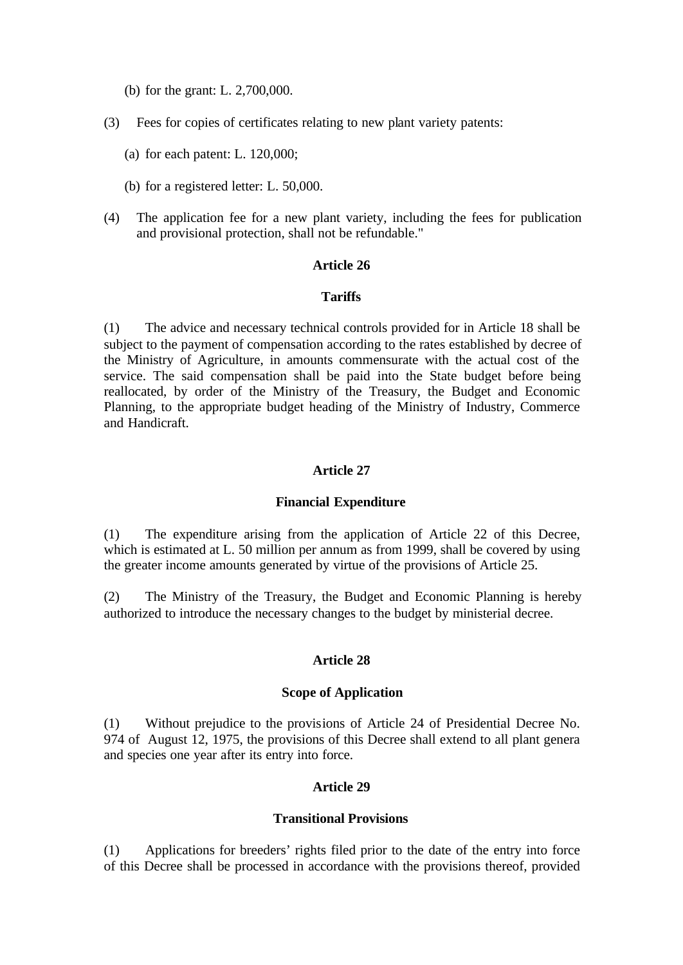- (b) for the grant: L. 2,700,000.
- (3) Fees for copies of certificates relating to new plant variety patents:
	- (a) for each patent: L. 120,000;
	- (b) for a registered letter: L. 50,000.
- (4) The application fee for a new plant variety, including the fees for publication and provisional protection, shall not be refundable."

### **Tariffs**

(1) The advice and necessary technical controls provided for in Article 18 shall be subject to the payment of compensation according to the rates established by decree of the Ministry of Agriculture, in amounts commensurate with the actual cost of the service. The said compensation shall be paid into the State budget before being reallocated, by order of the Ministry of the Treasury, the Budget and Economic Planning, to the appropriate budget heading of the Ministry of Industry, Commerce and Handicraft.

### **Article 27**

#### **Financial Expenditure**

(1) The expenditure arising from the application of Article 22 of this Decree, which is estimated at L. 50 million per annum as from 1999, shall be covered by using the greater income amounts generated by virtue of the provisions of Article 25.

(2) The Ministry of the Treasury, the Budget and Economic Planning is hereby authorized to introduce the necessary changes to the budget by ministerial decree.

### **Article 28**

#### **Scope of Application**

(1) Without prejudice to the provisions of Article 24 of Presidential Decree No. 974 of August 12, 1975, the provisions of this Decree shall extend to all plant genera and species one year after its entry into force.

# **Article 29**

#### **Transitional Provisions**

(1) Applications for breeders' rights filed prior to the date of the entry into force of this Decree shall be processed in accordance with the provisions thereof, provided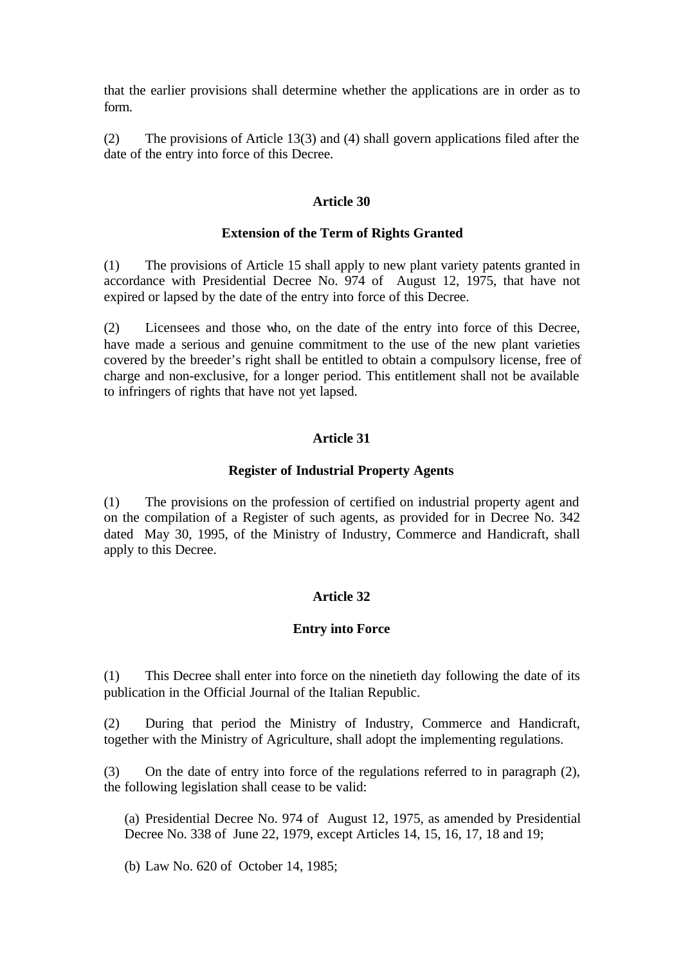that the earlier provisions shall determine whether the applications are in order as to form.

(2) The provisions of Article 13(3) and (4) shall govern applications filed after the date of the entry into force of this Decree.

### **Article 30**

### **Extension of the Term of Rights Granted**

(1) The provisions of Article 15 shall apply to new plant variety patents granted in accordance with Presidential Decree No. 974 of August 12, 1975, that have not expired or lapsed by the date of the entry into force of this Decree.

(2) Licensees and those who, on the date of the entry into force of this Decree, have made a serious and genuine commitment to the use of the new plant varieties covered by the breeder's right shall be entitled to obtain a compulsory license, free of charge and non-exclusive, for a longer period. This entitlement shall not be available to infringers of rights that have not yet lapsed.

## **Article 31**

### **Register of Industrial Property Agents**

(1) The provisions on the profession of certified on industrial property agent and on the compilation of a Register of such agents, as provided for in Decree No. 342 dated May 30, 1995, of the Ministry of Industry, Commerce and Handicraft, shall apply to this Decree.

## **Article 32**

## **Entry into Force**

(1) This Decree shall enter into force on the ninetieth day following the date of its publication in the Official Journal of the Italian Republic.

(2) During that period the Ministry of Industry, Commerce and Handicraft, together with the Ministry of Agriculture, shall adopt the implementing regulations.

(3) On the date of entry into force of the regulations referred to in paragraph (2), the following legislation shall cease to be valid:

(a) Presidential Decree No. 974 of August 12, 1975, as amended by Presidential Decree No. 338 of June 22, 1979, except Articles 14, 15, 16, 17, 18 and 19;

(b) Law No. 620 of October 14, 1985;